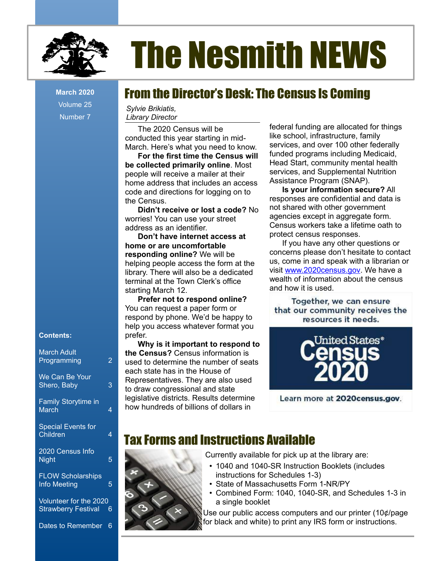

Volume 25 Number 7

#### **Contents:**

| <b>March Adult</b><br>Programming               | 2 |
|-------------------------------------------------|---|
| We Can Be Your<br>Shero, Baby                   | 3 |
| <b>Family Storytime in</b><br><b>March</b>      | 4 |
| <b>Special Events for</b><br>Children           | 4 |
| 2020 Census Info<br><b>Night</b>                | 5 |
| <b>FLOW Scholarships</b><br><b>Info Meeting</b> | 5 |

Volunteer for the 2020 Strawberry Festival 6

Dates to Remember 6

# The Nesmith NEWS

## From the Director's Desk: The Census Is Coming **March 2020**

*Sylvie Brikiatis, Library Director*

The 2020 Census will be conducted this year starting in mid-March. Here's what you need to know.

**For the first time the Census will be collected primarily online**. Most people will receive a mailer at their home address that includes an access code and directions for logging on to the Census.

**Didn't receive or lost a code?** No worries! You can use your street address as an identifier.

**Don't have internet access at home or are uncomfortable responding online?** We will be helping people access the form at the library. There will also be a dedicated terminal at the Town Clerk's office starting March 12.

**Prefer not to respond online?** You can request a paper form or respond by phone. We'd be happy to help you access whatever format you prefer.

**Why is it important to respond to the Census?** Census information is used to determine the number of seats each state has in the House of Representatives. They are also used to draw congressional and state legislative districts. Results determine how hundreds of billions of dollars in

federal funding are allocated for things like school, infrastructure, family services, and over 100 other federally funded programs including Medicaid, Head Start, community mental health services, and Supplemental Nutrition Assistance Program (SNAP).

**Is your information secure?** All responses are confidential and data is not shared with other government agencies except in aggregate form. Census workers take a lifetime oath to protect census responses.

If you have any other questions or concerns please don't hesitate to contact us, come in and speak with a librarian or visit [www.2020census.gov.](http://www.2020census.gov/) We have a wealth of information about the census and how it is used.

Together, we can ensure that our community receives the resources it needs.



Learn more at 2020 census.gov.

## Tax Forms and Instructions Available



Currently available for pick up at the library are:

- 1040 and 1040-SR Instruction Booklets (includes instructions for Schedules 1-3)
- State of Massachusetts Form 1-NR/PY
- Combined Form: 1040, 1040-SR, and Schedules 1-3 in a single booklet

Use our public access computers and our printer (10¢/page for black and white) to print any IRS form or instructions.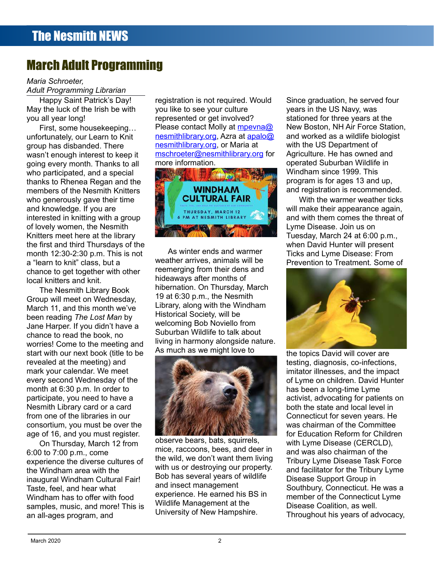# March Adult Programming

#### *Maria Schroeter,*

*Adult Programming Librarian*

Happy Saint Patrick's Day! May the luck of the Irish be with you all year long!

First, some housekeeping… unfortunately, our Learn to Knit group has disbanded. There wasn't enough interest to keep it going every month. Thanks to all who participated, and a special thanks to Rhenea Regan and the members of the Nesmith Knitters who generously gave their time and knowledge. If you are interested in knitting with a group of lovely women, the Nesmith Knitters meet here at the library the first and third Thursdays of the month 12:30-2:30 p.m. This is not a "learn to knit" class, but a chance to get together with other local knitters and knit.

The Nesmith Library Book Group will meet on Wednesday, March 11, and this month we've been reading *The Lost Man* by Jane Harper. If you didn't have a chance to read the book, no worries! Come to the meeting and start with our next book (title to be revealed at the meeting) and mark your calendar. We meet every second Wednesday of the month at 6:30 p.m. In order to participate, you need to have a Nesmith Library card or a card from one of the libraries in our consortium, you must be over the age of 16, and you must register.

On Thursday, March 12 from 6:00 to 7:00 p.m., come experience the diverse cultures of the Windham area with the inaugural Windham Cultural Fair! Taste, feel, and hear what Windham has to offer with food samples, music, and more! This is an all-ages program, and

registration is not required. Would you like to see your culture represented or get involved? Please contact Molly at [mpevna@](mailto:mpevna@nesmithlibrary.org) [nesmithlibrary.org,](mailto:mpevna@nesmithlibrary.org) Azra at [apalo@](mailto:apalo@nesmithlibrary.org) [nesmithlibrary.org,](mailto:apalo@nesmithlibrary.org) or Maria at mschroeter@nesmithlibrary.org for more information.



As winter ends and warmer weather arrives, animals will be reemerging from their dens and hideaways after months of hibernation. On Thursday, March 19 at 6:30 p.m., the Nesmith Library, along with the Windham Historical Society, will be welcoming Bob Noviello from Suburban Wildlife to talk about living in harmony alongside nature. As much as we might love to



observe bears, bats, squirrels, mice, raccoons, bees, and deer in the wild, we don't want them living with us or destroying our property. Bob has several years of wildlife and insect management experience. He earned his BS in Wildlife Management at the University of New Hampshire.

Since graduation, he served four years in the US Navy, was stationed for three years at the New Boston, NH Air Force Station, and worked as a wildlife biologist with the US Department of Agriculture. He has owned and operated Suburban Wildlife in Windham since 1999. This program is for ages 13 and up, and registration is recommended.

With the warmer weather ticks will make their appearance again, and with them comes the threat of Lyme Disease. Join us on Tuesday, March 24 at 6:00 p.m., when David Hunter will present Ticks and Lyme Disease: From Prevention to Treatment. Some of



the topics David will cover are testing, diagnosis, co-infections, imitator illnesses, and the impact of Lyme on children. David Hunter has been a long-time Lyme activist, advocating for patients on both the state and local level in Connecticut for seven years. He was chairman of the Committee for Education Reform for Children with Lyme Disease (CERCLD), and was also chairman of the Tribury Lyme Disease Task Force and facilitator for the Tribury Lyme Disease Support Group in Southbury, Connecticut. He was a member of the Connecticut Lyme Disease Coalition, as well. Throughout his years of advocacy,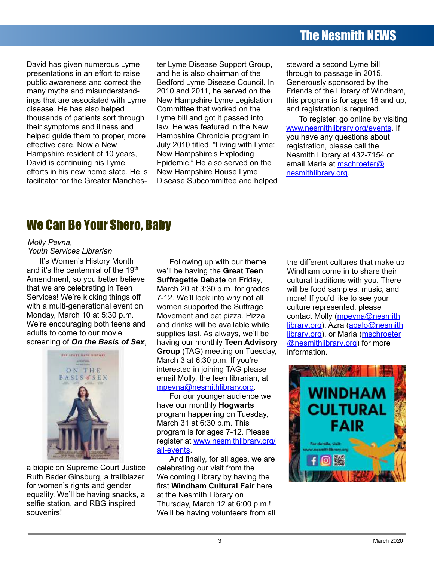## The Nesmith NEWS

David has given numerous Lyme presentations in an effort to raise public awareness and correct the many myths and misunderstandings that are associated with Lyme disease. He has also helped thousands of patients sort through their symptoms and illness and helped guide them to proper, more effective care. Now a New Hampshire resident of 10 years, David is continuing his Lyme efforts in his new home state. He is facilitator for the Greater Manches-

ter Lyme Disease Support Group, and he is also chairman of the Bedford Lyme Disease Council. In 2010 and 2011, he served on the New Hampshire Lyme Legislation Committee that worked on the Lyme bill and got it passed into law. He was featured in the New Hampshire Chronicle program in July 2010 titled, "Living with Lyme: New Hampshire's Exploding Epidemic." He also served on the New Hampshire House Lyme Disease Subcommittee and helped steward a second Lyme bill through to passage in 2015. Generously sponsored by the Friends of the Library of Windham, this program is for ages 16 and up, and registration is required.

To register, go online by visiting [www.nesmithlibrary.org/events](http://www.nesmithlibrary.org/events). If you have any questions about registration, please call the Nesmith Library at 432-7154 or email Maria at **mschroeter@** [nesmithlibrary.org.](mailto:mschroeter@nesmithlibrary.org)

## We Can Be Your Shero, Baby

#### *Molly Pevna,*

*Youth Services Librarian*

It's Women's History Month and it's the centennial of the 19<sup>th</sup> Amendment, so you better believe that we are celebrating in Teen Services! We're kicking things off with a multi-generational event on Monday, March 10 at 5:30 p.m. We're encouraging both teens and adults to come to our movie screening of *On the Basis of Sex*,



a biopic on Supreme Court Justice Ruth Bader Ginsburg, a trailblazer for women's rights and gender equality. We'll be having snacks, a selfie station, and RBG inspired souvenirs!

Following up with our theme we'll be having the **Great Teen Suffragette Debate** on Friday, March 20 at 3:30 p.m. for grades 7-12. We'll look into why not all women supported the Suffrage Movement and eat pizza. Pizza and drinks will be available while supplies last. As always, we'll be having our monthly **Teen Advisory Group** (TAG) meeting on Tuesday, March 3 at 6:30 p.m. If you're interested in joining TAG please email Molly, the teen librarian, at [mpevna@nesmithlibrary.org](mailto:mpevna@nesmithlibrary.org).

For our younger audience we have our monthly **Hogwarts** program happening on Tuesday, March 31 at 6:30 p.m. This program is for ages 7-12. Please register at [www.nesmithlibrary.org/](http://www.nesmithlibrary.org/all-events) [all-events](http://www.nesmithlibrary.org/all-events).

And finally, for all ages, we are celebrating our visit from the Welcoming Library by having the first **Windham Cultural Fair** here at the Nesmith Library on Thursday, March 12 at 6:00 p.m.! We'll be having volunteers from all the different cultures that make up Windham come in to share their cultural traditions with you. There will be food samples, music, and more! If you'd like to see your culture represented, please contact Molly (mpeyna@nesmith  [library](mailto:mpevna@nesmithlibrary) [.org\)](mailto:mpevna@nesmithlibrary.org), Azra [\(apalo@nesmith](mailto:apalo@nesmith) library org), or Maria ([mschroeter](mailto:mschroeter@nesmith) **@nesmithlibrary.org)** for more information.

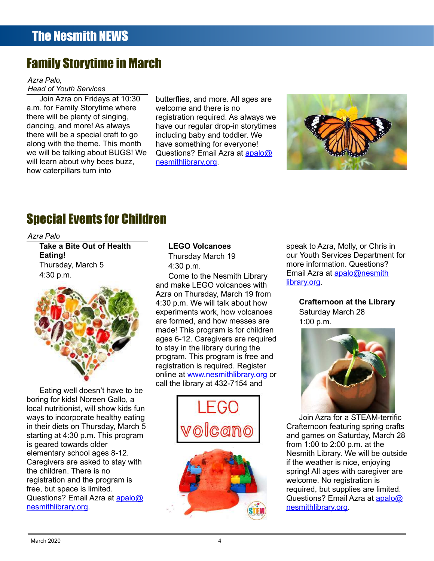## Family Storytime in March

*Azra Palo, Head of Youth Services*

Join Azra on Fridays at 10:30 a.m. for Family Storytime where there will be plenty of singing, dancing, and more! As always there will be a special craft to go along with the theme. This month we will be talking about BUGS! We will learn about why bees buzz, how caterpillars turn into

butterflies, and more. All ages are welcome and there is no registration required. As always we have our regular drop-in storytimes including baby and toddler. We have something for everyone! Questions? Email Azra at [apalo@](mailto:apalo@nesmithlibrary.org) [nesmithlibrary.org](mailto:apalo@nesmithlibrary.org).



# Special Events for Children

*Azra Palo*

**Take a Bite Out of Health Eating!** Thursday, March 5 4:30 p.m.



Eating well doesn't have to be boring for kids! Noreen Gallo, a local nutritionist, will show kids fun ways to incorporate healthy eating in their diets on Thursday, March 5 starting at 4:30 p.m. This program is geared towards older elementary school ages 8-12. Caregivers are asked to stay with the children. There is no registration and the program is free, but space is limited. Questions? Email Azra at [apalo@](mailto:apalo@nesmith) nesmith [library.org](mailto:apalo@nesmithlibrary.org).

#### **LEGO Volcanoes**

Thursday March 19 4:30 p.m.

Come to the Nesmith Library and make LEGO volcanoes with Azra on Thursday, March 19 from 4:30 p.m. We will talk about how experiments work, how volcanoes are formed, and how messes are made! This program is for children ages 6-12. Caregivers are required to stay in the library during the program. This program is free and registration is required. Register online at [www.nesmithlibrary.org](http://www.nesmithlibrary.org/) or call the library at 432-7154 and



speak to Azra, Molly, or Chris in our Youth Services Department for more information. Questions? Email Azra at [apalo@nesmith](mailto:apalo@nesmith) [library.org](mailto:apalo@nesmithlibrary.org).

#### **Crafternoon at the Library** Saturday March 28

1:00 p.m.



Join Azra for a STEAM-terrific Crafternoon featuring spring crafts and games on Saturday, March 28 from 1:00 to 2:00 p.m. at the Nesmith Library. We will be outside if the weather is nice, enjoying spring! All ages with caregiver are welcome. No registration is required, but supplies are limited. Questions? Email Azra at [apalo@](mailto:apalo@nesmith) nesmith [library.org.](mailto:apalo@nesmithlibrary.org)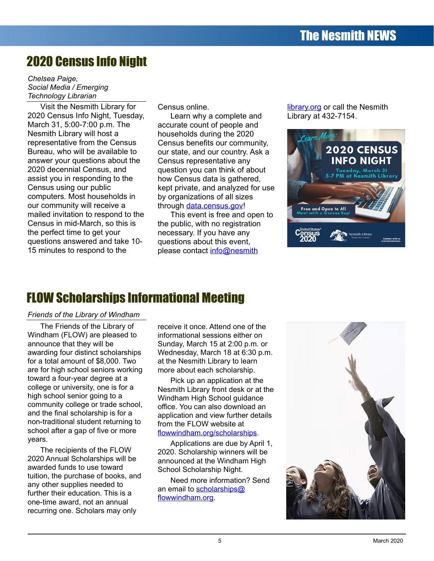# 2020 Census Info Night

*Chelsea Paige, Social Media / Emerging Technology Librarian*

Visit the Nesmith Library for 2020 Census Info Night, Tuesday, March 31, 5:00-7:00 p.m. The Nesmith Library will host a representative from the Census Bureau, who will be available to answer your questions about the 2020 decennial Census, and assist you in responding to the Census using our public computers. Most households in our community will receive a mailed invitation to respond to the Census in mid-March, so this is the perfect time to get your questions answered and take 10- 15 minutes to respond to the

Census online.

Learn why a complete and accurate count of people and households during the 2020 Census benefits our community, our state, and our country. Ask a Census representative any question you can think of about how Census data is gathered, kept private, and analyzed for use by organizations of all sizes through [data.census.gov](https://data.census.gov/cedsci/)!

This event is free and open to the public, with no registration necessary. If you have any questions about this event, please contact [info@nesmith](mailto:info@nesmith)

[library.org](mailto:info@nesmithlibrary.org) or call the Nesmith Library at 432-7154.



## FLOW Scholarships Informational Meeting

#### *Friends of the Library of Windham*

The Friends of the Library of Windham (FLOW) are pleased to announce that they will be awarding four distinct scholarships for a total amount of \$8,000. Two are for high school seniors working toward a four-year degree at a college or university, one is for a high school senior going to a community college or trade school, and the final scholarship is for a non-traditional student returning to school after a gap of five or more years.

The recipients of the FLOW 2020 Annual Scholarships will be awarded funds to use toward tuition, the purchase of books, and any other supplies needed to further their education. This is a one-time award, not an annual recurring one. Scholars may only

receive it once. Attend one of the informational sessions either on Sunday, March 15 at 2:00 p.m. or Wednesday, March 18 at 6:30 p.m. at the Nesmith Library to learn more about each scholarship.

Pick up an application at the Nesmith Library front desk or at the Windham High School guidance office. You can also download an application and view further details from the FLOW website at [flowwindham.org/scholarships.](https://www.flowwindham.org/scholarships)

Applications are due by April 1, 2020. Scholarship winners will be announced at the Windham High School Scholarship Night.

Need more information? Send an email to [scholarships@](mailto:scholarships@flowwindham.org) [flowwindham.org](mailto:scholarships@flowwindham.org).